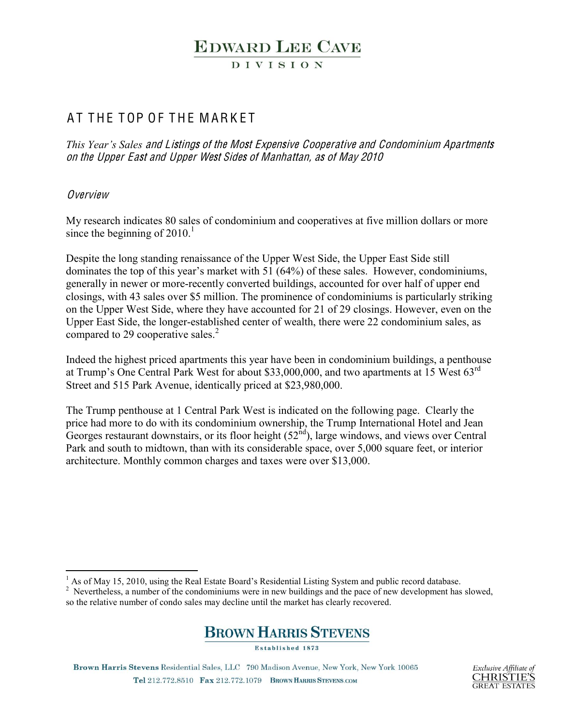# **EDWARD LEE CAVE**

**DIVISION** 

### AT THE TOP OF THE MARKET

*This Year's Sales and Listings of the Most Expensive Cooperative and Condominium Apartments* on th<sup>e</sup> Upp<sup>e</sup><sup>r</sup> East and Upp<sup>e</sup><sup>r</sup> West Side<sup>s</sup> <sup>o</sup>f Manhattan, <sup>a</sup><sup>s</sup> <sup>o</sup>f May 2010

### **Overview**

My research indicates 80 sales of condominium and cooperatives at five million dollars or more since the beginning of  $2010<sup>1</sup>$ 

Despite the long standing renaissance of the Upper West Side, the Upper East Side still dominates the top of this year's market with 51 (64%) of these sales. However, condominiums, generally in newer or more-recently converted buildings, accounted for over half of upper end closings, with 43 sales over \$5 million. The prominence of condominiums is particularly striking on the Upper West Side, where they have accounted for 21 of 29 closings. However, even on the Upper East Side, the longer-established center of wealth, there were 22 condominium sales, as compared to 29 cooperative sales.<sup>2</sup>

Indeed the highest priced apartments this year have been in condominium buildings, a penthouse at Trump's One Central Park West for about \$33,000,000, and two apartments at 15 West  $63^{\text{rd}}$ Street and 515 Park Avenue, identically priced at \$23,980,000.

The Trump penthouse at 1 Central Park West is indicated on the following page. Clearly the price had more to do with its condominium ownership, the Trump International Hotel and Jean Georges restaurant downstairs, or its floor height  $(52<sup>nd</sup>)$ , large windows, and views over Central Park and south to midtown, than with its considerable space, over 5,000 square feet, or interior architecture. Monthly common charges and taxes were over \$13,000.

 $2$  Nevertheless, a number of the condominiums were in new buildings and the pace of new development has slowed, so the relative number of condo sales may decline until the market has clearly recovered.



Established 1873

Brown Harris Stevens Residential Sales, LLC 790 Madison Avenue, New York, New York 10065 Tel 212.772.8510 Fax 212.772.1079 BROWN HARRIS STEVENS.COM

 $1$  As of May 15, 2010, using the Real Estate Board's Residential Listing System and public record database.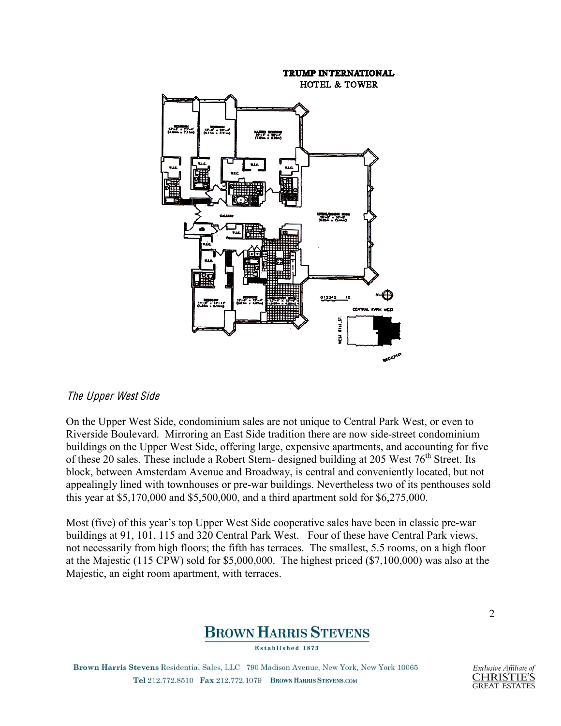

#### Th<sup>e</sup> Upp<sup>e</sup><sup>r</sup> West Sid<sup>e</sup>

On the Upper West Side, condominium sales are not unique to Central Park West, or even to Riverside Boulevard. Mirroring an East Side tradition there are now side-street condominium buildings on the Upper West Side, offering large, expensive apartments, and accounting for five of these 20 sales. These include a Robert Stern- designed building at 205 West 76<sup>th</sup> Street. Its block, between Amsterdam Avenue and Broadway, is central and conveniently located, but not appealingly lined with townhouses or pre-war buildings. Nevertheless two of its penthouses sold this year at \$5,170,000 and \$5,500,000, and a third apartment sold for \$6,275,000.

Most (five) of this year's top Upper West Side cooperative sales have been in classic pre-war buildings at 91, 101, 115 and 320 Central Park West. Four of these have Central Park views, not necessarily from high floors; the fifth has terraces. The smallest, 5.5 rooms, on a high floor at the Majestic (115 CPW) sold for \$5,000,000. The highest priced (\$7,100,000) was also at the Majestic, an eight room apartment, with terraces.



Established 1873

Brown Harris Stevens Residential Sales, LLC 790 Madison Avenue, New York, New York 10065 Tel 212.772.8510 Fax 212.772.1079 BROWN HARRIS STEVENS.COM

2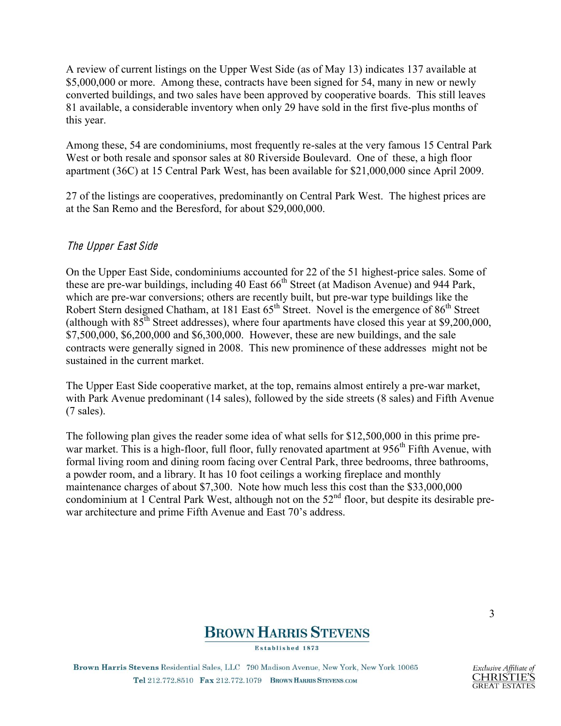A review of current listings on the Upper West Side (as of May 13) indicates 137 available at \$5,000,000 or more. Among these, contracts have been signed for 54, many in new or newly converted buildings, and two sales have been approved by cooperative boards. This still leaves 81 available, a considerable inventory when only 29 have sold in the first five-plus months of this year.

Among these, 54 are condominiums, most frequently re-sales at the very famous 15 Central Park West or both resale and sponsor sales at 80 Riverside Boulevard. One of these, a high floor apartment (36C) at 15 Central Park West, has been available for \$21,000,000 since April 2009.

27 of the listings are cooperatives, predominantly on Central Park West. The highest prices are at the San Remo and the Beresford, for about \$29,000,000.

### Th<sup>e</sup> Upp<sup>e</sup><sup>r</sup> East Sid<sup>e</sup>

On the Upper East Side, condominiums accounted for 22 of the 51 highest-price sales. Some of these are pre-war buildings, including 40 East  $66<sup>th</sup>$  Street (at Madison Avenue) and 944 Park, which are pre-war conversions; others are recently built, but pre-war type buildings like the Robert Stern designed Chatham, at 181 East 65<sup>th</sup> Street. Novel is the emergence of 86<sup>th</sup> Street (although with  $85<sup>th</sup>$  Street addresses), where four apartments have closed this year at \$9,200,000, \$7,500,000, \$6,200,000 and \$6,300,000. However, these are new buildings, and the sale contracts were generally signed in 2008. This new prominence of these addresses might not be sustained in the current market.

The Upper East Side cooperative market, at the top, remains almost entirely a pre-war market, with Park Avenue predominant (14 sales), followed by the side streets (8 sales) and Fifth Avenue (7 sales).

The following plan gives the reader some idea of what sells for \$12,500,000 in this prime prewar market. This is a high-floor, full floor, fully renovated apartment at  $956<sup>th</sup>$  Fifth Avenue, with formal living room and dining room facing over Central Park, three bedrooms, three bathrooms, a powder room, and a library. It has 10 foot ceilings a working fireplace and monthly maintenance charges of about \$7,300. Note how much less this cost than the \$33,000,000 condominium at 1 Central Park West, although not on the 52<sup>nd</sup> floor, but despite its desirable prewar architecture and prime Fifth Avenue and East 70's address.



Established 1873

Brown Harris Stevens Residential Sales, LLC 790 Madison Avenue, New York, New York 10065 Tel 212.772.8510 Fax 212.772.1079 BROWN HARRIS STEVENS.COM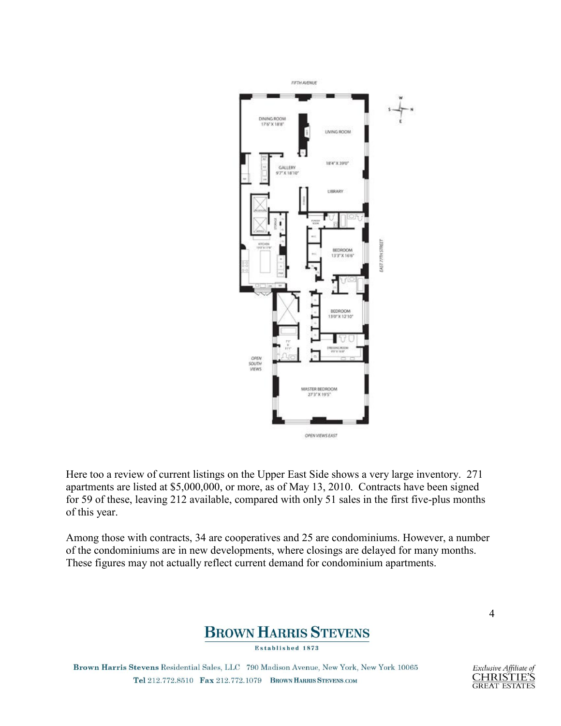

Here too a review of current listings on the Upper East Side shows a very large inventory. 271 apartments are listed at \$5,000,000, or more, as of May 13, 2010. Contracts have been signed for 59 of these, leaving 212 available, compared with only 51 sales in the first five-plus months of this year.

Among those with contracts, 34 are cooperatives and 25 are condominiums. However, a number of the condominiums are in new developments, where closings are delayed for many months. These figures may not actually reflect current demand for condominium apartments.



**Established 1873** 

Brown Harris Stevens Residential Sales, LLC 790 Madison Avenue, New York, New York 10065 Tel 212.772.8510 Fax 212.772.1079 BROWN HARRIS STEVENS.COM

4